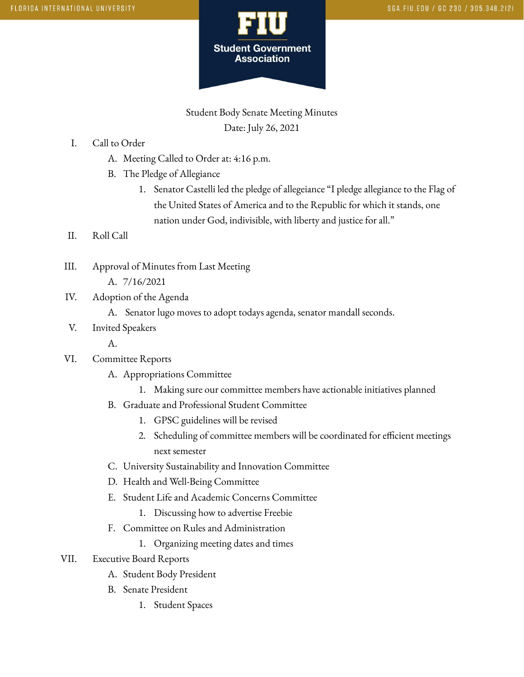

Student Body Senate Meeting Minutes Date: July 26, 2021

- I. Call to Order
	- A. Meeting Called to Order at: 4:16 p.m.
	- B. The Pledge of Allegiance
		- 1. Senator Castelli led the pledge of allegeiance "I pledge allegiance to the Flag of the United States of America and to the Republic for which it stands, one nation under God, indivisible, with liberty and justice for all."
- II. Roll Call
- III. Approval of Minutes from Last Meeting A. 7/16/2021
- IV. Adoption of the Agenda
	- A. Senator lugo moves to adopt todays agenda, senator mandall seconds.
- V. Invited Speakers

A.

- VI. Committee Reports
	- A. Appropriations Committee
		- 1. Making sure our committee members have actionable initiatives planned
	- B. Graduate and Professional Student Committee
		- 1. GPSC guidelines will be revised
		- 2. Scheduling of committee members will be coordinated for efficient meetings next semester
	- C. University Sustainability and Innovation Committee
	- D. Health and Well-Being Committee
	- E. Student Life and Academic Concerns Committee
		- 1. Discussing how to advertise Freebie
	- F. Committee on Rules and Administration
		- 1. Organizing meeting dates and times
- VII. Executive Board Reports
	- A. Student Body President
	- B. Senate President
		- 1. Student Spaces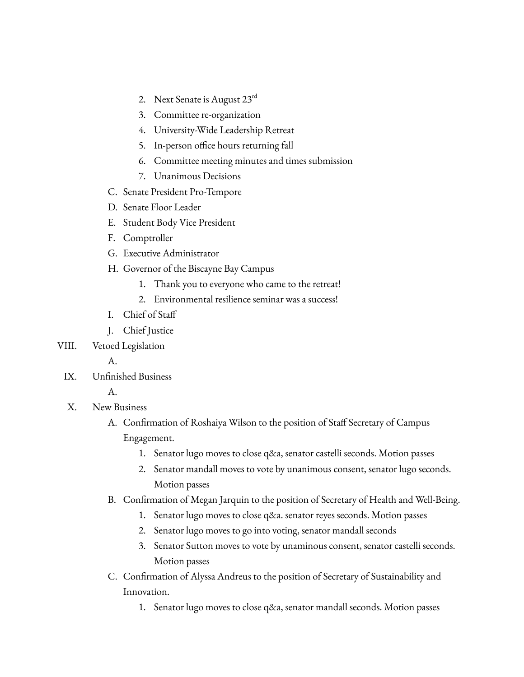- 2. Next Senate is August  $23^{\text{rd}}$
- 3. Committee re-organization
- 4. University-Wide Leadership Retreat
- 5. In-person office hours returning fall
- 6. Committee meeting minutes and times submission
- 7. Unanimous Decisions
- C. Senate President Pro-Tempore
- D. Senate Floor Leader
- E. Student Body Vice President
- F. Comptroller
- G. Executive Administrator
- H. Governor of the Biscayne Bay Campus
	- 1. Thank you to everyone who came to the retreat!
	- 2. Environmental resilience seminar was a success!
- I. Chief of Staff
- J. Chief Justice
- VIII. Vetoed Legislation
	- A.
	- IX. Unfinished Business

## A.

- X. New Business
	- A. Confirmation of Roshaiya Wilson to the position of Staff Secretary of Campus Engagement.
		- 1. Senator lugo moves to close q&a, senator castelli seconds. Motion passes
		- 2. Senator mandall moves to vote by unanimous consent, senator lugo seconds. Motion passes
	- B. Confirmation of Megan Jarquin to the position of Secretary of Health and Well-Being.
		- 1. Senator lugo moves to close q&a. senator reyes seconds. Motion passes
		- 2. Senator lugo moves to go into voting, senator mandall seconds
		- 3. Senator Sutton moves to vote by unaminous consent, senator castelli seconds. Motion passes
	- C. Confirmation of Alyssa Andreus to the position of Secretary of Sustainability and Innovation.
		- 1. Senator lugo moves to close q&a, senator mandall seconds. Motion passes